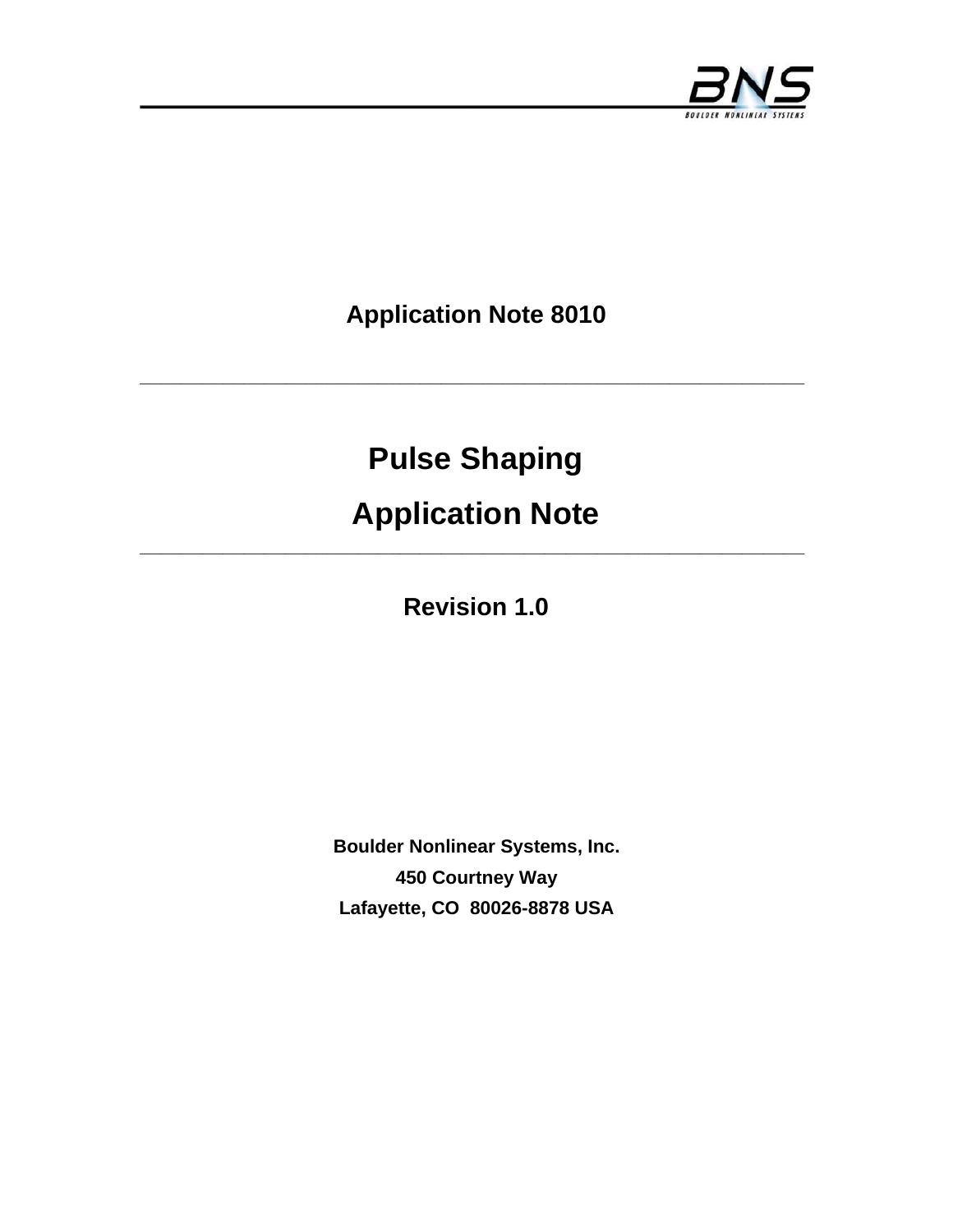

**Application Note 8010** 

**\_\_\_\_\_\_\_\_\_\_\_\_\_\_\_\_\_\_\_\_\_\_\_\_\_\_\_\_\_\_\_\_\_\_\_\_\_\_\_\_\_\_\_\_\_\_\_\_\_\_\_\_\_\_\_\_\_\_\_\_\_\_\_\_** 

# **Pulse Shaping**

# **Application Note**

**Revision 1.0** 

**Boulder Nonlinear Systems, Inc. 450 Courtney Way Lafayette, CO 80026-8878 USA**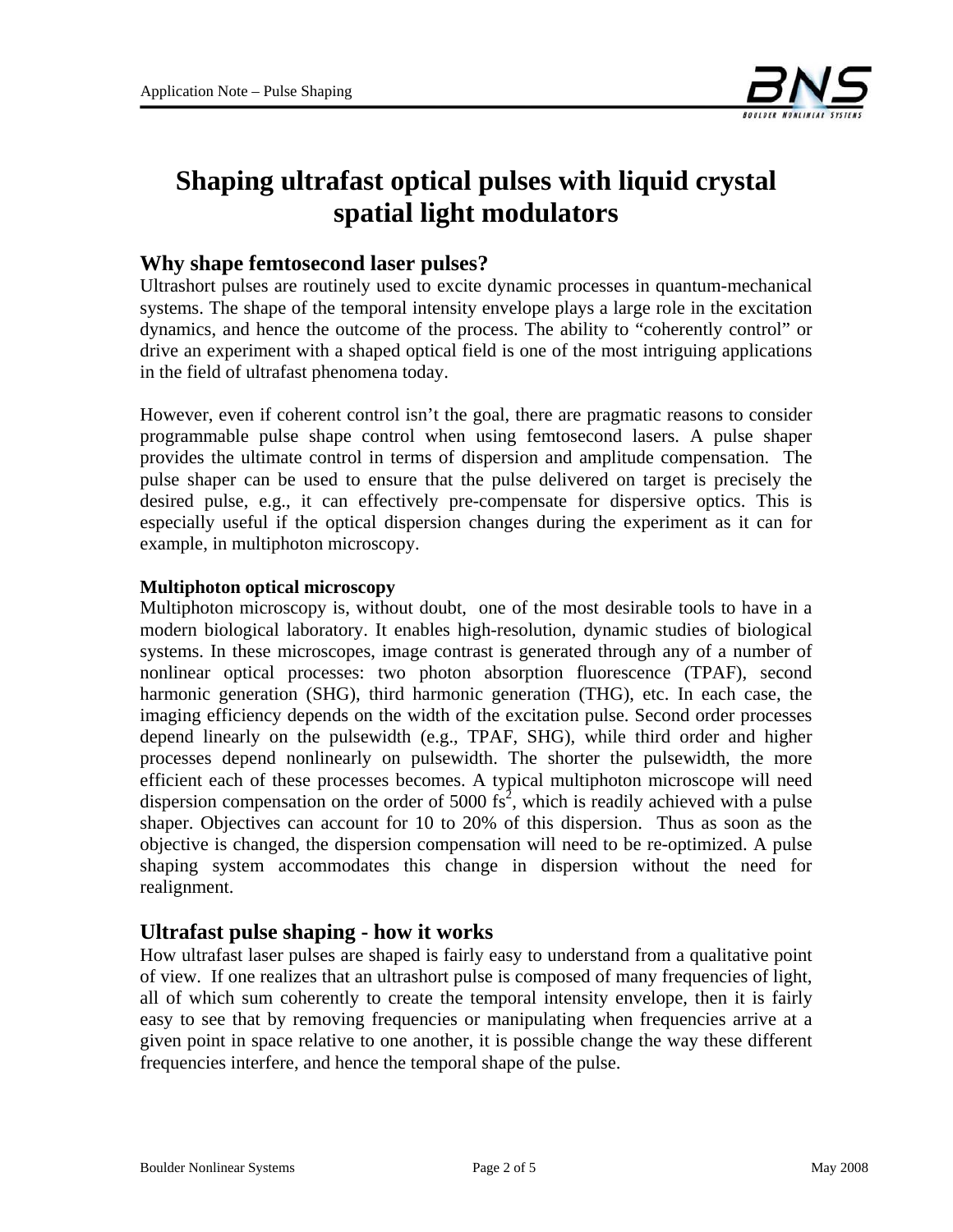

# **Shaping ultrafast optical pulses with liquid crystal spatial light modulators**

### **Why shape femtosecond laser pulses?**

Ultrashort pulses are routinely used to excite dynamic processes in quantum-mechanical systems. The shape of the temporal intensity envelope plays a large role in the excitation dynamics, and hence the outcome of the process. The ability to "coherently control" or drive an experiment with a shaped optical field is one of the most intriguing applications in the field of ultrafast phenomena today.

However, even if coherent control isn't the goal, there are pragmatic reasons to consider programmable pulse shape control when using femtosecond lasers. A pulse shaper provides the ultimate control in terms of dispersion and amplitude compensation. The pulse shaper can be used to ensure that the pulse delivered on target is precisely the desired pulse, e.g., it can effectively pre-compensate for dispersive optics. This is especially useful if the optical dispersion changes during the experiment as it can for example, in multiphoton microscopy.

#### **Multiphoton optical microscopy**

Multiphoton microscopy is, without doubt, one of the most desirable tools to have in a modern biological laboratory. It enables high-resolution, dynamic studies of biological systems. In these microscopes, image contrast is generated through any of a number of nonlinear optical processes: two photon absorption fluorescence (TPAF), second harmonic generation (SHG), third harmonic generation (THG), etc. In each case, the imaging efficiency depends on the width of the excitation pulse. Second order processes depend linearly on the pulsewidth (e.g., TPAF, SHG), while third order and higher processes depend nonlinearly on pulsewidth. The shorter the pulsewidth, the more efficient each of these processes becomes. A typical multiphoton microscope will need dispersion compensation on the order of 5000  $\mathrm{fs}^2$ , which is readily achieved with a pulse shaper. Objectives can account for 10 to 20% of this dispersion. Thus as soon as the objective is changed, the dispersion compensation will need to be re-optimized. A pulse shaping system accommodates this change in dispersion without the need for realignment.

### **Ultrafast pulse shaping - how it works**

How ultrafast laser pulses are shaped is fairly easy to understand from a qualitative point of view. If one realizes that an ultrashort pulse is composed of many frequencies of light, all of which sum coherently to create the temporal intensity envelope, then it is fairly easy to see that by removing frequencies or manipulating when frequencies arrive at a given point in space relative to one another, it is possible change the way these different frequencies interfere, and hence the temporal shape of the pulse.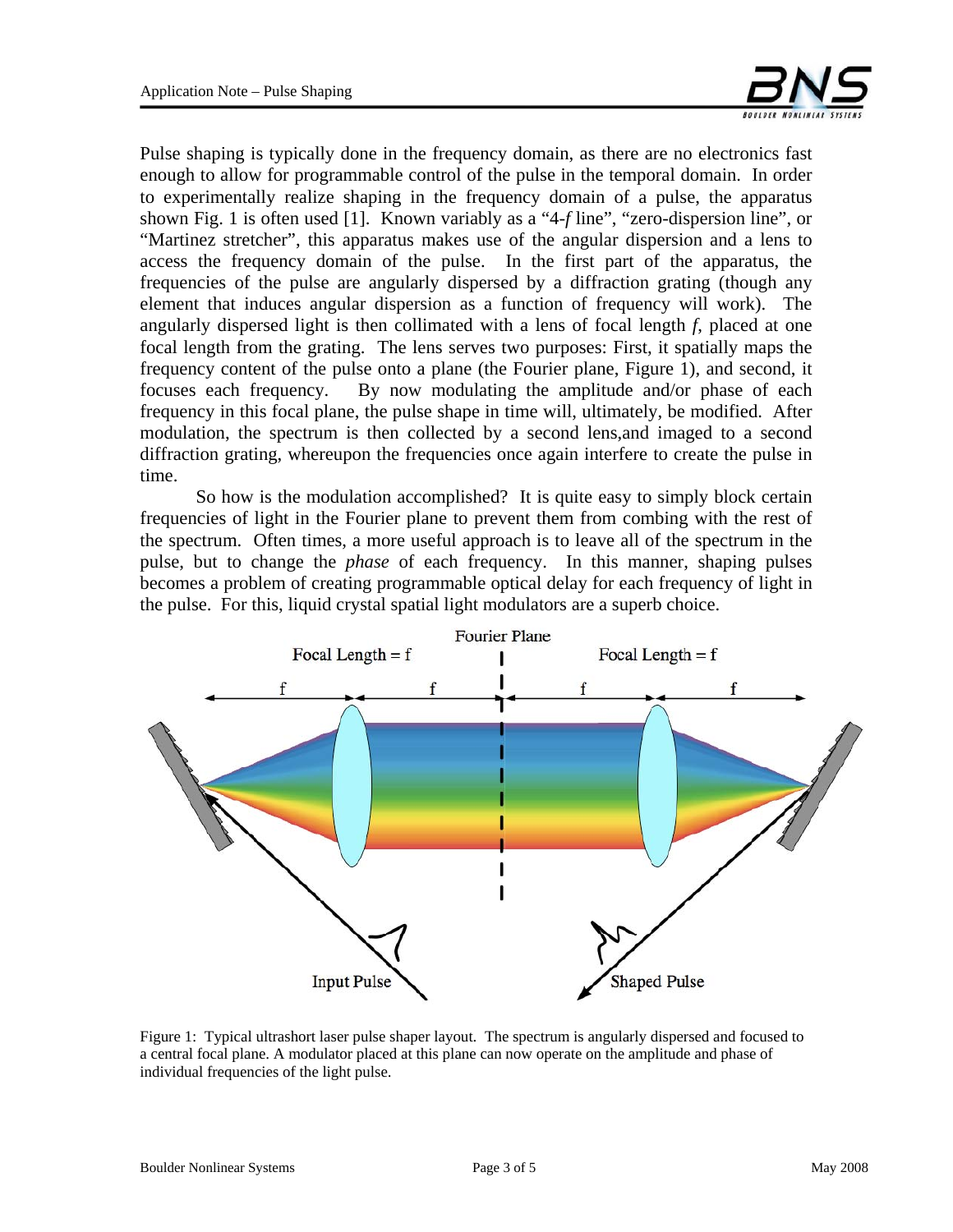

Pulse shaping is typically done in the frequency domain, as there are no electronics fast enough to allow for programmable control of the pulse in the temporal domain. In order to experimentally realize shaping in the frequency domain of a pulse, the apparatus shown Fig. 1 is often used [1]. Known variably as a "4-*f* line", "zero-dispersion line", or "Martinez stretcher", this apparatus makes use of the angular dispersion and a lens to access the frequency domain of the pulse. In the first part of the apparatus, the frequencies of the pulse are angularly dispersed by a diffraction grating (though any element that induces angular dispersion as a function of frequency will work). The angularly dispersed light is then collimated with a lens of focal length *f*, placed at one focal length from the grating. The lens serves two purposes: First, it spatially maps the frequency content of the pulse onto a plane (the Fourier plane, Figure 1), and second, it focuses each frequency. By now modulating the amplitude and/or phase of each frequency in this focal plane, the pulse shape in time will, ultimately, be modified. After modulation, the spectrum is then collected by a second lens,and imaged to a second diffraction grating, whereupon the frequencies once again interfere to create the pulse in time.

 So how is the modulation accomplished? It is quite easy to simply block certain frequencies of light in the Fourier plane to prevent them from combing with the rest of the spectrum. Often times, a more useful approach is to leave all of the spectrum in the pulse, but to change the *phase* of each frequency. In this manner, shaping pulses becomes a problem of creating programmable optical delay for each frequency of light in the pulse. For this, liquid crystal spatial light modulators are a superb choice.



Figure 1: Typical ultrashort laser pulse shaper layout. The spectrum is angularly dispersed and focused to a central focal plane. A modulator placed at this plane can now operate on the amplitude and phase of individual frequencies of the light pulse.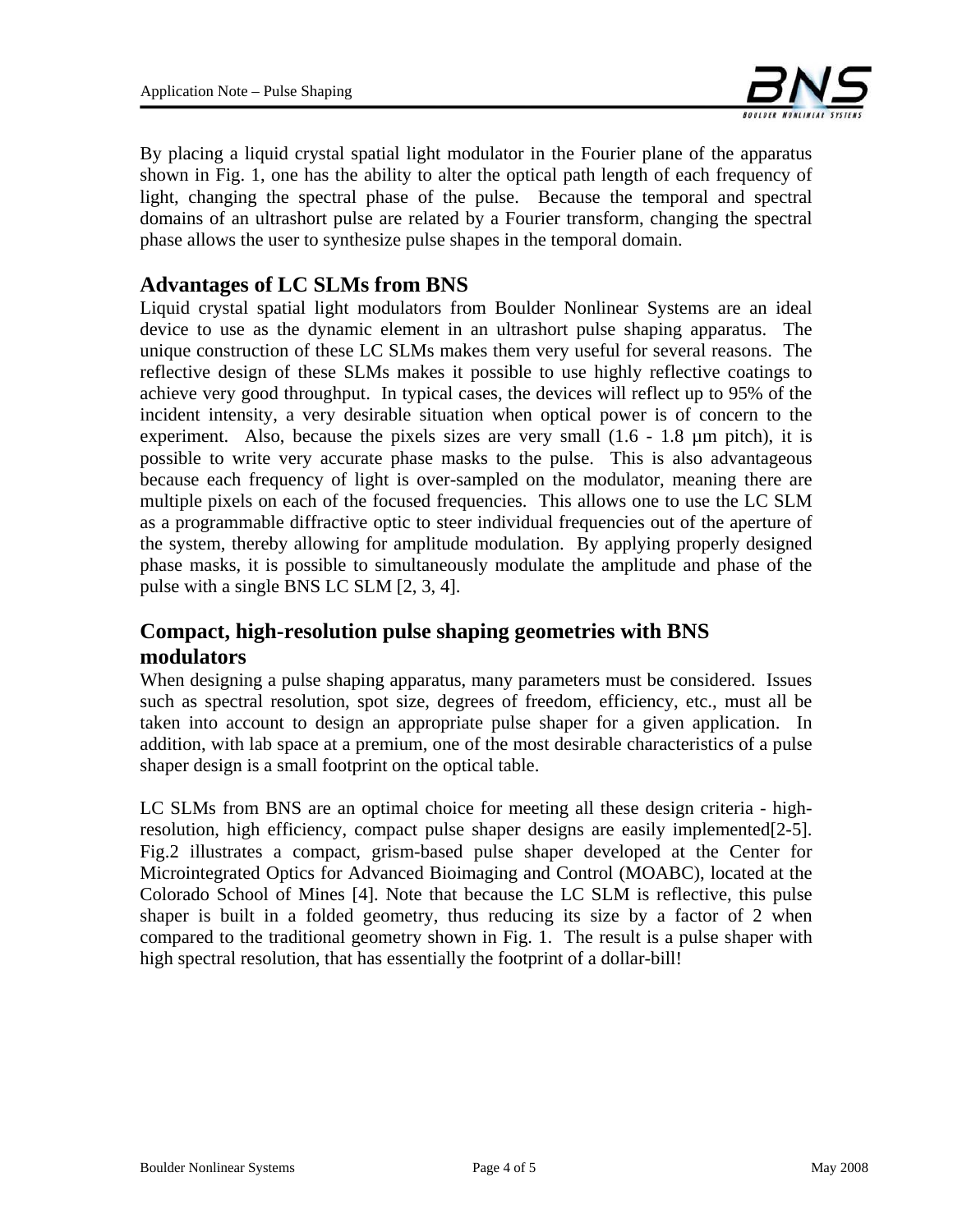

By placing a liquid crystal spatial light modulator in the Fourier plane of the apparatus shown in Fig. 1, one has the ability to alter the optical path length of each frequency of light, changing the spectral phase of the pulse. Because the temporal and spectral domains of an ultrashort pulse are related by a Fourier transform, changing the spectral phase allows the user to synthesize pulse shapes in the temporal domain.

## **Advantages of LC SLMs from BNS**

Liquid crystal spatial light modulators from Boulder Nonlinear Systems are an ideal device to use as the dynamic element in an ultrashort pulse shaping apparatus. The unique construction of these LC SLMs makes them very useful for several reasons. The reflective design of these SLMs makes it possible to use highly reflective coatings to achieve very good throughput. In typical cases, the devices will reflect up to 95% of the incident intensity, a very desirable situation when optical power is of concern to the experiment. Also, because the pixels sizes are very small (1.6 - 1.8 µm pitch), it is possible to write very accurate phase masks to the pulse. This is also advantageous because each frequency of light is over-sampled on the modulator, meaning there are multiple pixels on each of the focused frequencies. This allows one to use the LC SLM as a programmable diffractive optic to steer individual frequencies out of the aperture of the system, thereby allowing for amplitude modulation. By applying properly designed phase masks, it is possible to simultaneously modulate the amplitude and phase of the pulse with a single BNS LC SLM [2, 3, 4].

# **Compact, high-resolution pulse shaping geometries with BNS modulators**

When designing a pulse shaping apparatus, many parameters must be considered. Issues such as spectral resolution, spot size, degrees of freedom, efficiency, etc., must all be taken into account to design an appropriate pulse shaper for a given application. In addition, with lab space at a premium, one of the most desirable characteristics of a pulse shaper design is a small footprint on the optical table.

LC SLMs from BNS are an optimal choice for meeting all these design criteria - highresolution, high efficiency, compact pulse shaper designs are easily implemented[2-5]. Fig.2 illustrates a compact, grism-based pulse shaper developed at the Center for Microintegrated Optics for Advanced Bioimaging and Control (MOABC), located at the Colorado School of Mines [4]. Note that because the LC SLM is reflective, this pulse shaper is built in a folded geometry, thus reducing its size by a factor of 2 when compared to the traditional geometry shown in Fig. 1. The result is a pulse shaper with high spectral resolution, that has essentially the footprint of a dollar-bill!